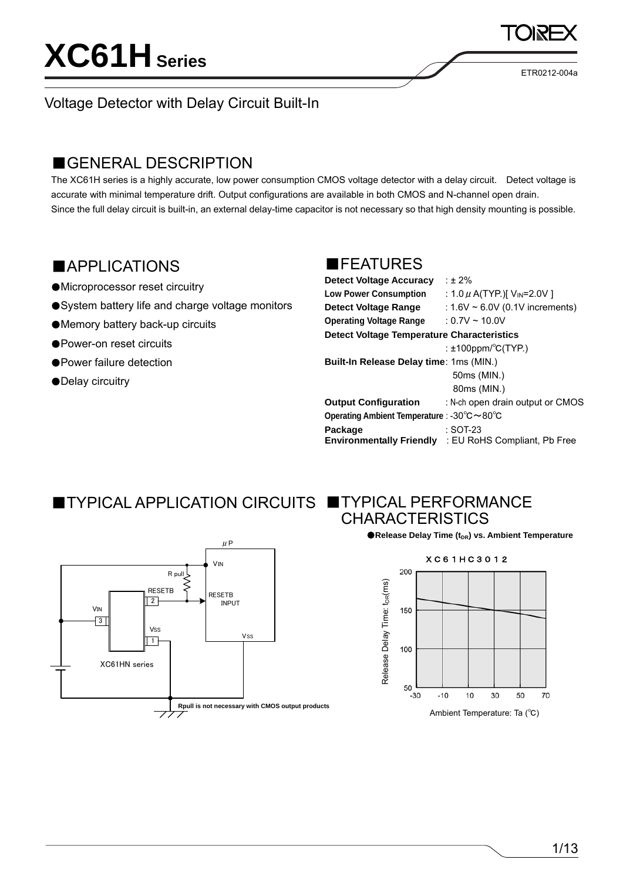ETR0212-004a

### Voltage Detector with Delay Circuit Built-In

### ■GENERAL DESCRIPTION

The XC61H series is a highly accurate, low power consumption CMOS voltage detector with a delay circuit. Detect voltage is accurate with minimal temperature drift. Output configurations are available in both CMOS and N-channel open drain. Since the full delay circuit is built-in, an external delay-time capacitor is not necessary so that high density mounting is possible.

### ■APPLICATIONS

- ●Microprocessor reset circuitry
- ●System battery life and charge voltage monitors
- ●Memory battery back-up circuits
- ●Power-on reset circuits
- Power failure detection
- ●Delay circuitry

### ■FEATURES

| <b>Detect Voltage Accuracy</b>                    | : $\pm 2\%$                                  |
|---------------------------------------------------|----------------------------------------------|
| <b>Low Power Consumption</b>                      | : 1.0 $\mu$ A(TYP.)[ V <sub>IN</sub> =2.0V ] |
| <b>Detect Voltage Range</b>                       | : $1.6V \sim 6.0V$ (0.1V increments)         |
| <b>Operating Voltage Range</b>                    | $: 0.7V \sim 10.0V$                          |
| <b>Detect Voltage Temperature Characteristics</b> |                                              |
|                                                   | : $\pm$ 100ppm/ $\mathrm{^{\circ}C(TYP)}$    |
| Built-In Release Delay time: 1ms (MIN.)           |                                              |
|                                                   | 50ms (MIN.)                                  |
|                                                   | 80ms (MIN.)                                  |
| <b>Output Configuration</b>                       | : N-ch open drain output or CMOS             |
| Operating Ambient Temperature : -30°C ~80°C       |                                              |
| Package                                           | $:$ SOT-23                                   |
| <b>Environmentally Friendly</b>                   | : EU RoHS Compliant, Pb Free                 |

### ■ TYPICAL APPLICATION CIRCUITS ■ TYPICAL PERFORMANCE



# CHARACTERISTICS

●**Release Delay Time (t<sub>DR</sub>) vs. Ambient Temperature** 

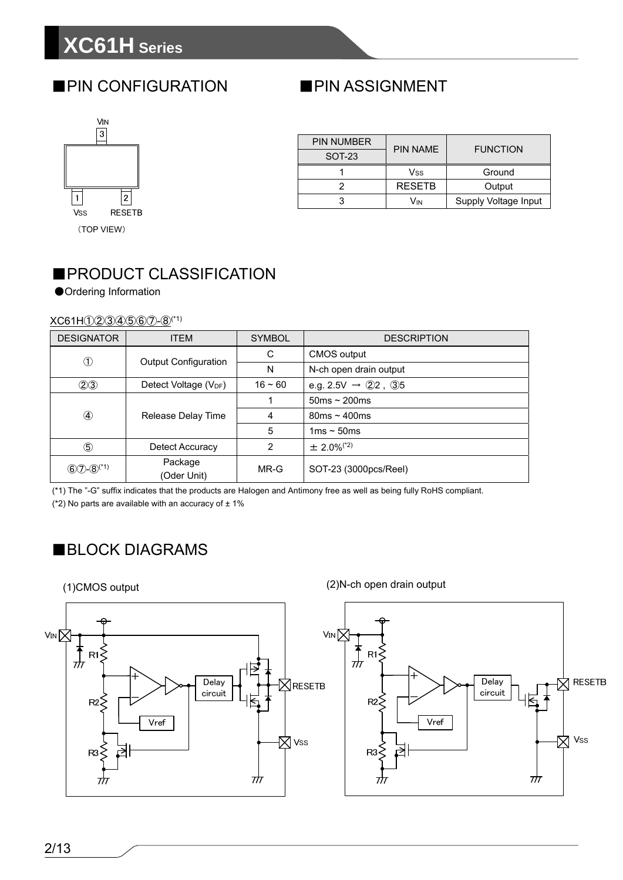# **XC61H Series**

### ■PIN CONFIGURATION



| <b>PIN NUMBER</b> | <b>PIN NAME</b> | <b>FUNCTION</b>      |  |
|-------------------|-----------------|----------------------|--|
| <b>SOT-23</b>     |                 |                      |  |
|                   | Vss             | Ground               |  |
|                   | <b>RESETB</b>   | Output               |  |
|                   | Vın             | Supply Voltage Input |  |

■PIN ASSIGNMENT

## ■PRODUCT CLASSIFICATION

●Ordering Information

#### XC61H①②③④⑤⑥⑦-⑧(\*1)

| <b>DESIGNATOR</b>  | <b>ITEM</b>                       | <b>SYMBOL</b> | <b>DESCRIPTION</b>             |  |
|--------------------|-----------------------------------|---------------|--------------------------------|--|
|                    | <b>Output Configuration</b>       | C             | <b>CMOS</b> output             |  |
| $^\circledR$       |                                   | N             | N-ch open drain output         |  |
| (2)3               | Detect Voltage (V <sub>DF</sub> ) | $16 - 60$     | e.g. 2.5V $\rightarrow$ 22, 35 |  |
| $\circled{4}$      | Release Delay Time                |               | $50ms \sim 200ms$              |  |
|                    |                                   | 4             | $80ms \sim 400ms$              |  |
|                    |                                   | 5             | 1ms $\sim$ 50ms                |  |
| $\circledS$        | Detect Accuracy                   | 2             | $\pm 2.0\%$ <sup>(*2)</sup>    |  |
| $(60) - (8)^{(*)}$ | Package<br>(Oder Unit)            | MR-G          | SOT-23 (3000pcs/Reel)          |  |

(\*1) The "-G" suffix indicates that the products are Halogen and Antimony free as well as being fully RoHS compliant.

(\*2) No parts are available with an accuracy of  $\pm$  1%

### ■BLOCK DIAGRAMS

(1)CMOS output



(2)N-ch open drain output

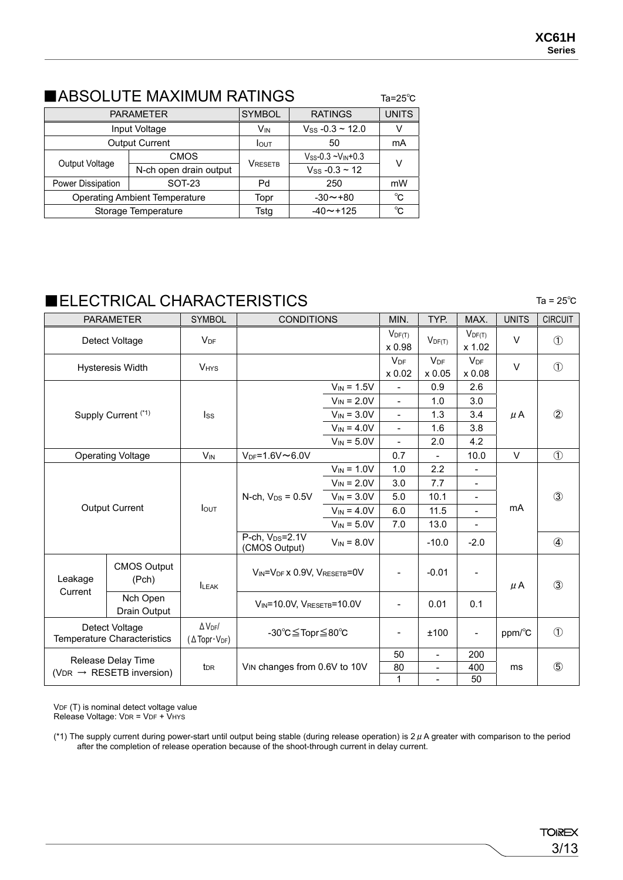### ■ABSOLUTE MAXIMUM RATINGS

|                                    | <b>PARAMETER</b>                     | <b>SYMBOL</b>   | <b>RATINGS</b>                | <b>UNITS</b> |  |
|------------------------------------|--------------------------------------|-----------------|-------------------------------|--------------|--|
|                                    | Input Voltage                        | V <sub>IN</sub> | $V_{SS}$ -0.3 ~ 12.0          | V            |  |
|                                    | <b>Output Current</b>                | <b>I</b> OUT    | 50                            | mA           |  |
| Output Voltage                     | <b>CMOS</b>                          |                 | $V_{SS} - 0.3 - V_{IN} + 0.3$ | v            |  |
|                                    | N-ch open drain output               | VRESETB         | $V$ ss -0.3 ~ 12              |              |  |
| <b>SOT-23</b><br>Power Dissipation |                                      | Pd              | 250                           | mW           |  |
|                                    | <b>Operating Ambient Temperature</b> | Topr            | $-30 \rightarrow +80$         | °C           |  |
|                                    | Storage Temperature                  | Tstg            | $-40 \sim +125$               | °C           |  |

### ■ELECTRICAL CHARACTERISTICS Ta = 25℃

|                                       | <b>PARAMETER</b>                              | <b>SYMBOL</b>                                                            | <b>CONDITIONS</b>                            |                              | MIN.                            | TYP.                            | MAX.                      | <b>UNITS</b>        | <b>CIRCUIT</b> |  |
|---------------------------------------|-----------------------------------------------|--------------------------------------------------------------------------|----------------------------------------------|------------------------------|---------------------------------|---------------------------------|---------------------------|---------------------|----------------|--|
|                                       | Detect Voltage                                | $V_{DF}$                                                                 |                                              |                              | $V_{DF(T)}$<br>x 0.98           | $V_{DF(T)}$                     | $V_{DF(T)}$<br>x 1.02     | $\vee$              | $\circled{1}$  |  |
|                                       | <b>Hysteresis Width</b>                       | <b>VHYS</b>                                                              |                                              |                              | <b>V<sub>DF</sub></b><br>x 0.02 | <b>V<sub>DF</sub></b><br>x 0.05 | V <sub>DF</sub><br>x 0.08 | $\vee$              | $\bigcirc$     |  |
|                                       |                                               |                                                                          |                                              | $V_{IN} = 1.5V$              |                                 | 0.9                             | 2.6                       |                     |                |  |
|                                       |                                               |                                                                          |                                              | $V_{IN} = 2.0V$              | $\frac{1}{2}$                   | 1.0                             | 3.0                       |                     |                |  |
|                                       | Supply Current (*1)                           | <b>Iss</b>                                                               |                                              | $V_{IN} = 3.0V$              | $\overline{\phantom{a}}$        | 1.3                             | 3.4                       | μA                  | $\circled{2}$  |  |
|                                       |                                               |                                                                          |                                              | $V_{IN} = 4.0V$              | $\overline{\phantom{a}}$        | 1.6                             | 3.8                       |                     |                |  |
|                                       |                                               |                                                                          |                                              | $V_{IN} = 5.0V$              | $\overline{a}$                  | 2.0                             | 4.2                       |                     |                |  |
|                                       | <b>Operating Voltage</b>                      | $V_{IN}$                                                                 | $V_{DF} = 1.6 V \sim 6.0 V$                  |                              | 0.7                             | $\overline{\phantom{a}}$        | 10.0                      | $\vee$              | $\circled{1}$  |  |
|                                       |                                               |                                                                          |                                              | $V_{IN} = 1.0V$              | 1.0                             | 2.2                             |                           |                     |                |  |
|                                       |                                               | <b>I</b> OUT                                                             | N-ch, $V_{DS} = 0.5V$                        | $V_{IN} = 2.0V$              | 3.0                             | 7.7                             | $\overline{\phantom{a}}$  |                     |                |  |
|                                       |                                               |                                                                          |                                              | $V_{IN} = 3.0V$              | 5.0                             | 10.1                            |                           | $\circled{3}$<br>mA |                |  |
|                                       | <b>Output Current</b>                         |                                                                          |                                              | $V_{IN} = 4.0V$              | 6.0                             | 11.5                            | $\overline{\phantom{a}}$  |                     |                |  |
|                                       |                                               |                                                                          |                                              | $V_{IN} = 5.0V$              | 7.0                             | 13.0                            | $\overline{\phantom{0}}$  |                     |                |  |
|                                       |                                               |                                                                          | P-ch, V <sub>DS</sub> =2.1V<br>(CMOS Output) | $V_{IN} = 8.0V$              |                                 | $-10.0$                         | $-2.0$                    |                     | $\circled{4}$  |  |
| Leakage                               | <b>CMOS Output</b><br>(Pch)                   | <b>ILEAK</b>                                                             | VIN=VDF X 0.9V, VRESETB=0V                   |                              | $\qquad \qquad -$               | $-0.01$                         |                           | $\mu$ A             | $\circled{3}$  |  |
| Current                               | Nch Open<br>Drain Output                      |                                                                          | VIN=10.0V, VRESETB=10.0V                     |                              | $\overline{\phantom{a}}$        | 0.01                            | 0.1                       |                     |                |  |
|                                       | Detect Voltage<br>Temperature Characteristics | $\Delta$ V <sub>DF</sub> /<br>$(\Delta \text{Topr} \cdot V_{\text{DF}})$ | -30°C≦Topr≦80°C                              |                              | $\overline{\phantom{a}}$        | ±100                            | $\overline{\phantom{a}}$  | ppm/°C              | $\circled{1}$  |  |
| Release Delay Time                    |                                               |                                                                          |                                              |                              | 50                              | $\blacksquare$                  | 200                       | ms                  | $\circledS$    |  |
| ( $VDR \rightarrow RESETB$ inversion) |                                               | t <sub>DR</sub>                                                          |                                              | VIN changes from 0.6V to 10V |                                 | $\overline{a}$                  | 400                       |                     |                |  |
|                                       |                                               |                                                                          |                                              |                              | $\mathbf{1}$                    |                                 | 50                        |                     |                |  |

Ta=25℃

VDF (T) is nominal detect voltage value Release Voltage: VDR = VDF + VHYS

(\*1) The supply current during power-start until output being stable (during release operation) is  $2 \mu$  A greater with comparison to the period after the completion of release operation because of the shoot-through current in delay current.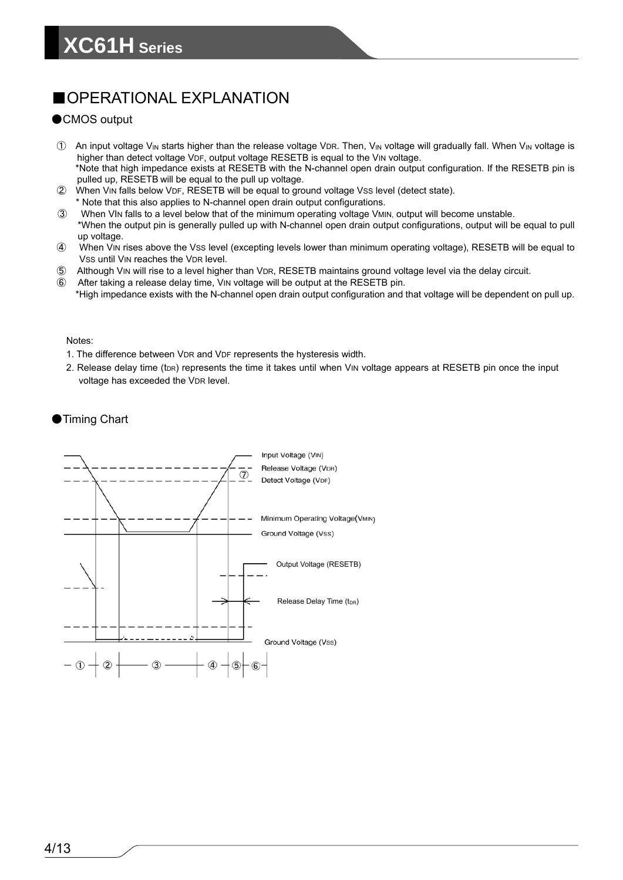### ■OPERATIONAL EXPLANATION

### ●CMOS output

- $\Omega$  An input voltage V<sub>IN</sub> starts higher than the release voltage VDR. Then, V<sub>IN</sub> voltage will gradually fall. When V<sub>IN</sub> voltage is higher than detect voltage VDF, output voltage RESETB is equal to the VIN voltage. \*Note that high impedance exists at RESETB with the N-channel open drain output configuration. If the RESETB pin is pulled up, RESETB will be equal to the pull up voltage.
- ② When VIN falls below VDF, RESETB will be equal to ground voltage VSS level (detect state).
- \* Note that this also applies to N-channel open drain output configurations.
- ③ When VIN falls to a level below that of the minimum operating voltage VMIN, output will become unstable. \*When the output pin is generally pulled up with N-channel open drain output configurations, output will be equal to pull
- up voltage.
- ④ When VIN rises above the VSS level (excepting levels lower than minimum operating voltage), RESETB will be equal to Vss until VIN reaches the VDR level.
- ⑤ Although VIN will rise to a level higher than VDR, RESETB maintains ground voltage level via the delay circuit.
- ⑥ After taking a release delay time, VIN voltage will be output at the RESETB pin. \*High impedance exists with the N-channel open drain output configuration and that voltage will be dependent on pull up.

#### Notes:

- 1. The difference between VDR and VDF represents the hysteresis width.
- 2. Release delay time  $(t_{DR})$  represents the time it takes until when VIN voltage appears at RESETB pin once the input voltage has exceeded the VDR level.

●Timing Chart

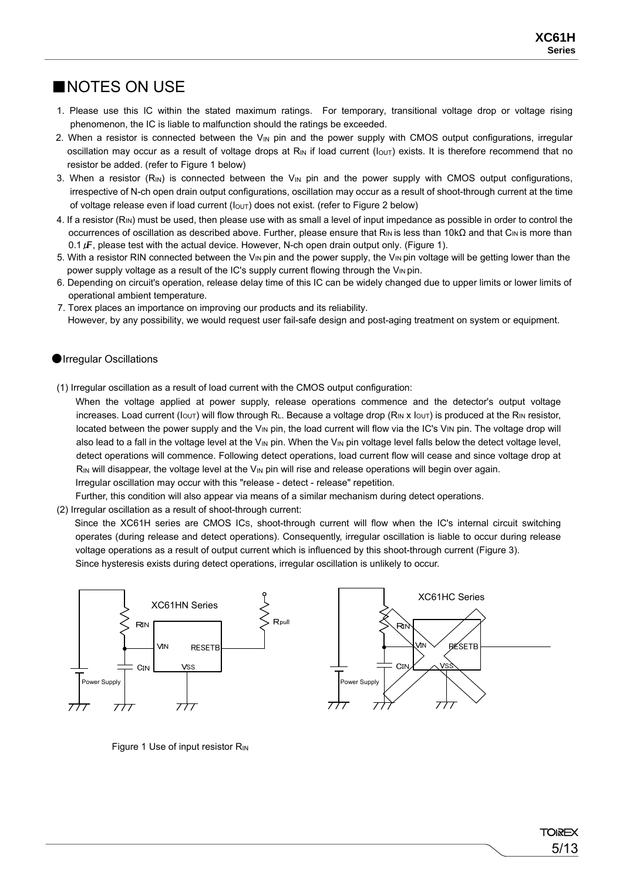### ■NOTES ON USE

- 1. Please use this IC within the stated maximum ratings. For temporary, transitional voltage drop or voltage rising phenomenon, the IC is liable to malfunction should the ratings be exceeded.
- 2. When a resistor is connected between the  $V_{\text{IN}}$  pin and the power supply with CMOS output configurations, irregular oscillation may occur as a result of voltage drops at R<sub>IN</sub> if load current ( $I_{\text{OUT}}$ ) exists. It is therefore recommend that no resistor be added. (refer to Figure 1 below)
- 3. When a resistor  $(R_{\text{IN}})$  is connected between the  $V_{\text{IN}}$  pin and the power supply with CMOS output configurations, irrespective of N-ch open drain output configurations, oscillation may occur as a result of shoot-through current at the time of voltage release even if load current ( $I_{\text{OUT}}$ ) does not exist. (refer to Figure 2 below)
- 4. If a resistor (R<sub>IN</sub>) must be used, then please use with as small a level of input impedance as possible in order to control the occurrences of oscillation as described above. Further, please ensure that R<sub>IN</sub> is less than 10kΩ and that C<sub>IN</sub> is more than 0.1  $\mu$ F, please test with the actual device. However, N-ch open drain output only. (Figure 1).
- 5. With a resistor RIN connected between the V<sub>IN</sub> pin and the power supply, the V<sub>IN</sub> pin voltage will be getting lower than the power supply voltage as a result of the IC's supply current flowing through the V<sub>IN</sub> pin.
- 6. Depending on circuit's operation, release delay time of this IC can be widely changed due to upper limits or lower limits of operational ambient temperature.
- 7. Torex places an importance on improving our products and its reliability.
- However, by any possibility, we would request user fail-safe design and post-aging treatment on system or equipment.

#### **Olrregular Oscillations**

(1) Irregular oscillation as a result of load current with the CMOS output configuration:

 When the voltage applied at power supply, release operations commence and the detector's output voltage increases. Load current ( $I_{\text{OUT}}$ ) will flow through R<sub>L</sub>. Because a voltage drop (R<sub>IN</sub> x  $I_{\text{OUT}}$ ) is produced at the R<sub>IN</sub> resistor, located between the power supply and the V<sub>IN</sub> pin, the load current will flow via the IC's VIN pin. The voltage drop will also lead to a fall in the voltage level at the V<sub>IN</sub> pin. When the V<sub>IN</sub> pin voltage level falls below the detect voltage level, detect operations will commence. Following detect operations, load current flow will cease and since voltage drop at  $R_{IN}$  will disappear, the voltage level at the  $V_{IN}$  pin will rise and release operations will begin over again. Irregular oscillation may occur with this "release - detect - release" repetition.

Further, this condition will also appear via means of a similar mechanism during detect operations.

(2) Irregular oscillation as a result of shoot-through current:

 Since the XC61H series are CMOS ICS, shoot-through current will flow when the IC's internal circuit switching operates (during release and detect operations). Consequently, irregular oscillation is liable to occur during release voltage operations as a result of output current which is influenced by this shoot-through current (Figure 3). Since hysteresis exists during detect operations, irregular oscillation is unlikely to occur.



Figure 1. Use of input resistor RIN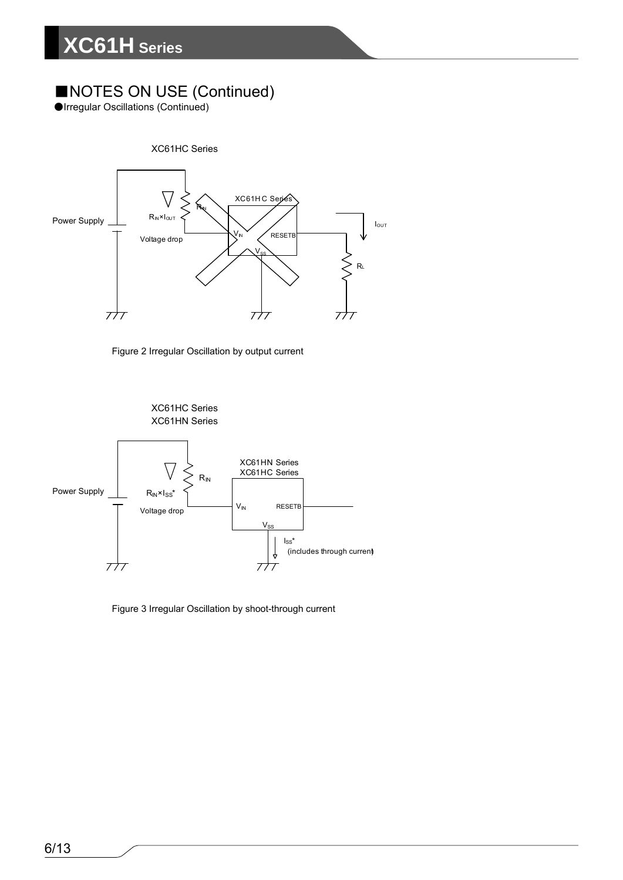### ■NOTES ON USE (Continued)

●Irregular Oscillations (Continued)







Figure 3 Irregular Oscillation by shoot-through current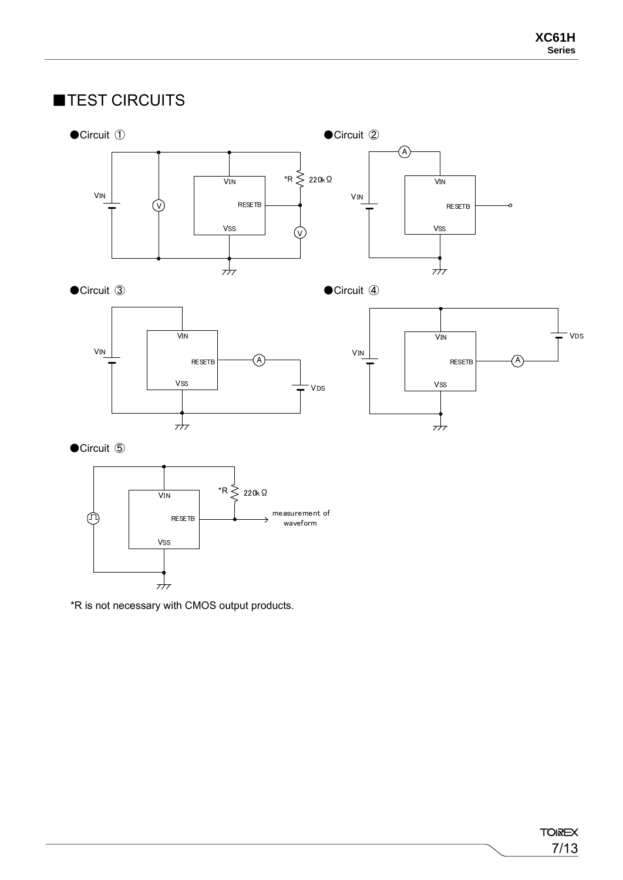### ■TEST CIRCUITS







●Circuit **⑤** 



\*R is not necessary with CMOS output products.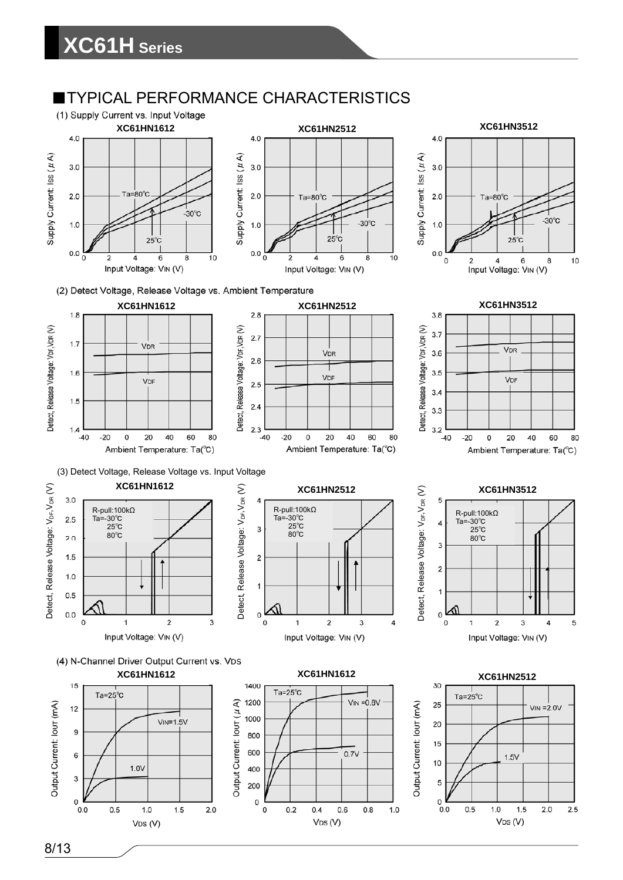### **TYPICAL PERFORMANCE CHARACTERISTICS**







5

 $\Omega$ 

 $0.0$ 

 $0.5$ 

 $1.0$ 

 $1.5$ 

 $VDS(V)$ 

 $2.0$ 

 $2.5$ 





200

 $\mathbf 0$ 

 $\mathsf{o}\xspace$ 

 $0.2$ 

 $0.4$ 

 $VDS(V)$ 

 $0.6$ 

 $0.8$ 

 $1.0$ 

 $\mathbf{3}$ 

 $\Omega$ 

 $0.0$ 

 $0.5$ 

 $1.0$ 

VDS (V)

 $1.5$ 

 $2.0$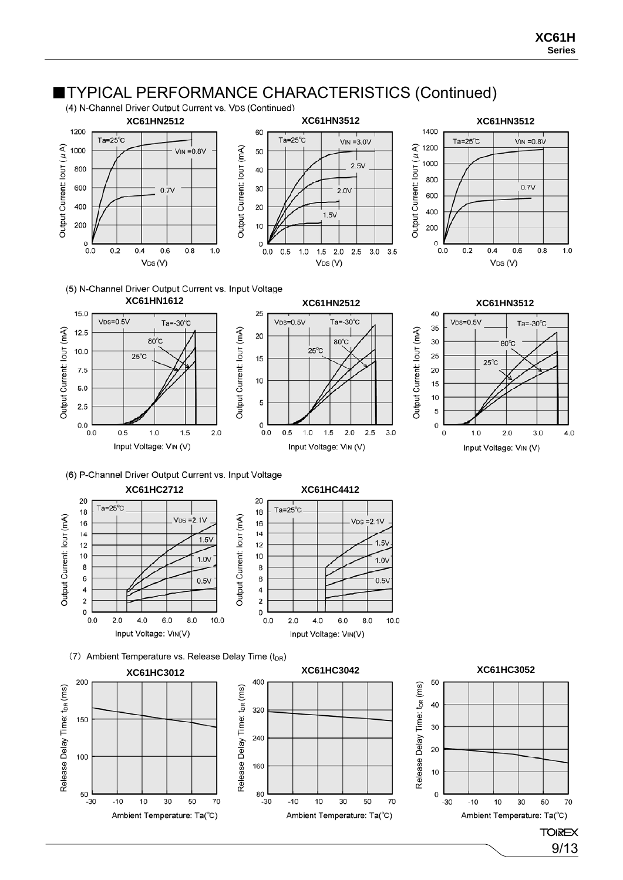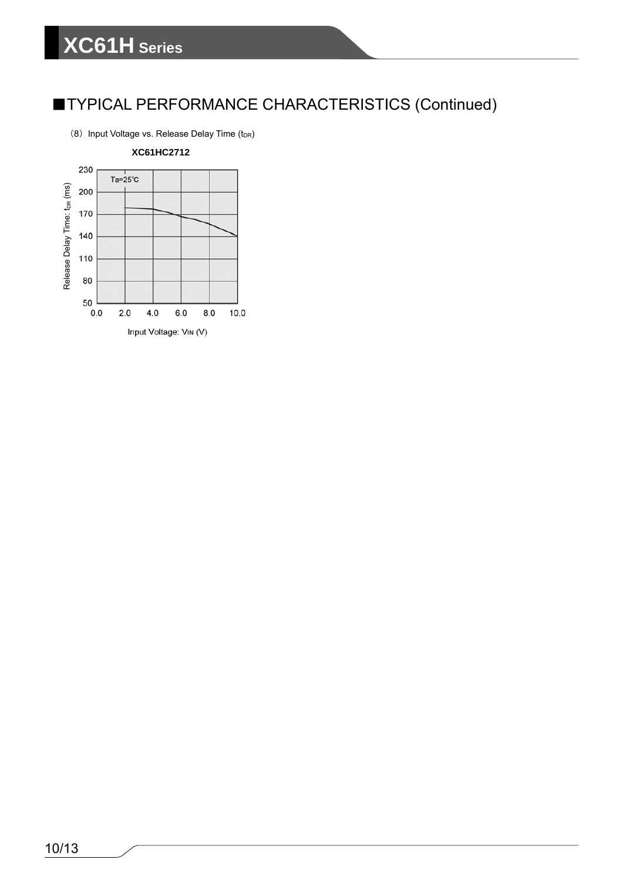### ■TYPICAL PERFORMANCE CHARACTERISTICS (Continued)

(8) Input Voltage vs. Release Delay Time  $(t_{DR})$ 

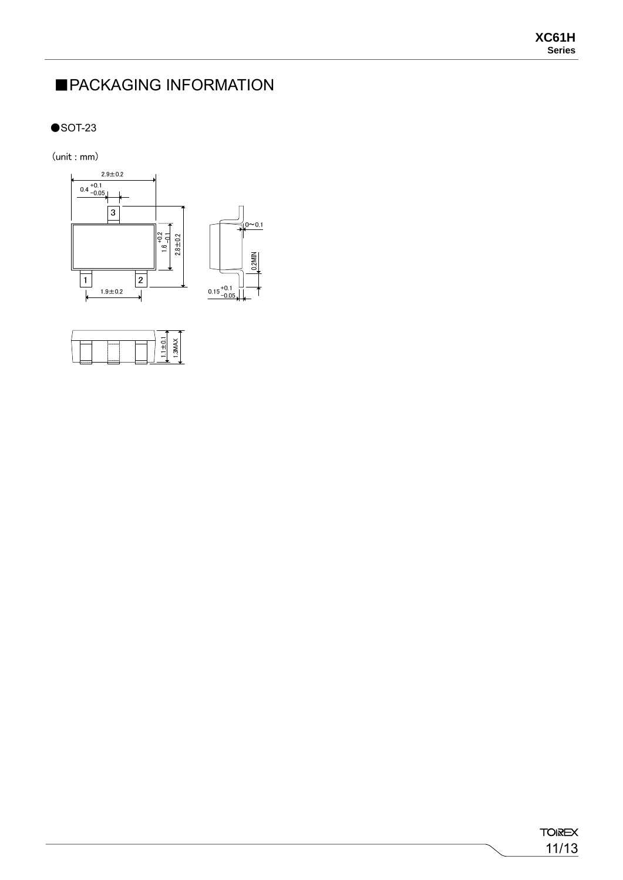11/13

**TOIREX** 

### ■PACKAGING INFORMATION

 $\bullet$ SOT-23

 $(unit:mm)$ 



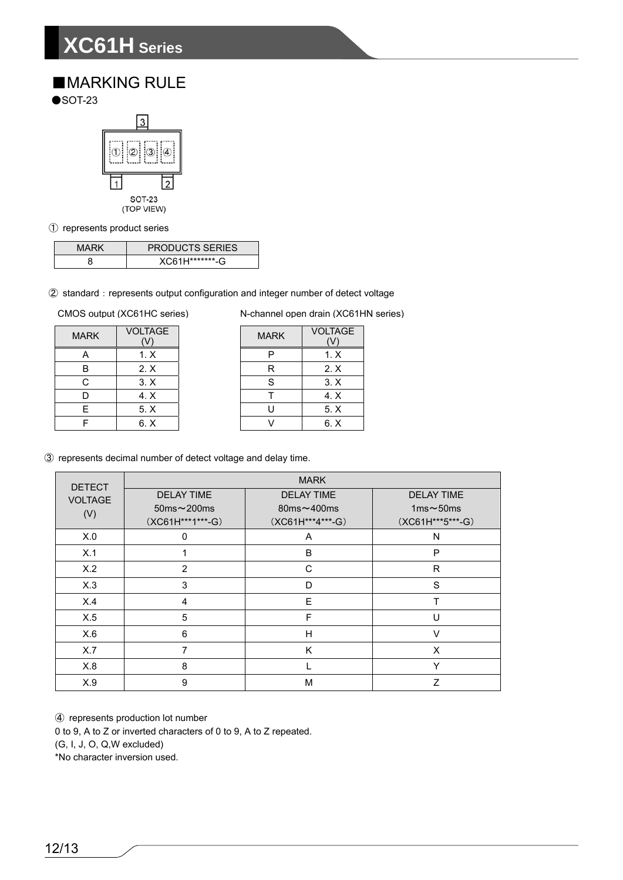# **XC61H Series**

### ■MARKING RULE

 $\bullet$ SOT-23



① represents product series

| <b>PRODUCTS SERIES</b> |
|------------------------|
| XC61H********-G        |

2 standard: represents output configuration and integer number of detect voltage

| <b>MARK</b> | <b>VOLTAGE</b><br>V) |
|-------------|----------------------|
| А           | 1. X                 |
| B           | $2 \times$           |
| C           | 3. X                 |
| D           | 4. X                 |
| F           | 5. X                 |
|             | 6. X                 |

CMOS output (XC61HC series) N-channel open drain (XC61HN series)

| <b>ARK</b> | <b>VOLTAGE</b> | <b>MARK</b> | <b>VOLTAGE</b> |
|------------|----------------|-------------|----------------|
| А          | 1. X           |             | 1. X           |
| В          | 2. X           | R           | 2. X           |
| C          | 3. X           | ς           | 3. X           |
| D          | 4. X           |             | 4. X           |
| E          | 5. X           |             | 5. X           |
| F          | 6. X           |             | 6. X           |

③ represents decimal number of detect voltage and delay time.

| <b>DETECT</b>  | <b>MARK</b>       |                    |                   |  |  |
|----------------|-------------------|--------------------|-------------------|--|--|
| <b>VOLTAGE</b> | <b>DELAY TIME</b> | <b>DELAY TIME</b>  | <b>DELAY TIME</b> |  |  |
| (V)            | $50ms \sim 200ms$ | 80 $ms \sim 400ms$ | 1ms $\sim$ 50ms   |  |  |
|                | (XC61H***1***-G)  | (XC61H***4***-G)   | (XC61H***5***-G)  |  |  |
| X.0            | $\Omega$          | A                  | N                 |  |  |
| X.1            |                   | B                  | P                 |  |  |
| X.2            | 2                 | C                  | R                 |  |  |
| X.3            | 3                 | D                  | S                 |  |  |
| X.4            | 4                 | E                  | T                 |  |  |
| X.5            | 5                 | F                  | U                 |  |  |
| X.6            | 6                 | H                  | $\vee$            |  |  |
| X.7            | 7                 | K                  | X                 |  |  |
| X.8            | 8                 |                    | Y                 |  |  |
| X.9            | 9                 | M                  | Z                 |  |  |

④ represents production lot number 0 to 9, A to Z or inverted characters of 0 to 9, A to Z repeated. (G, I, J, O, Q,W excluded)